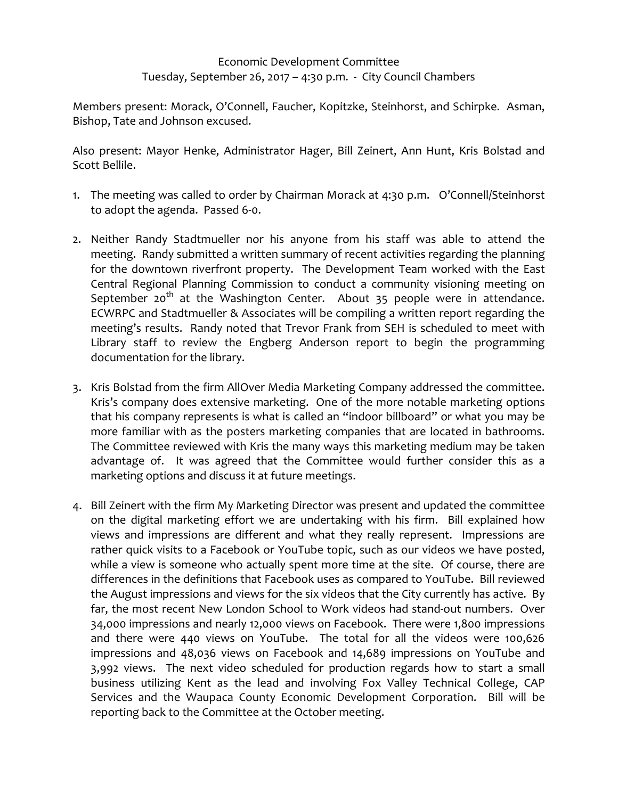## Economic Development Committee Tuesday, September 26, 2017 – 4:30 p.m. - City Council Chambers

Members present: Morack, O'Connell, Faucher, Kopitzke, Steinhorst, and Schirpke. Asman, Bishop, Tate and Johnson excused.

Also present: Mayor Henke, Administrator Hager, Bill Zeinert, Ann Hunt, Kris Bolstad and Scott Bellile.

- 1. The meeting was called to order by Chairman Morack at 4:30 p.m. O'Connell/Steinhorst to adopt the agenda. Passed 6-0.
- 2. Neither Randy Stadtmueller nor his anyone from his staff was able to attend the meeting. Randy submitted a written summary of recent activities regarding the planning for the downtown riverfront property. The Development Team worked with the East Central Regional Planning Commission to conduct a community visioning meeting on September 20<sup>th</sup> at the Washington Center. About 35 people were in attendance. ECWRPC and Stadtmueller & Associates will be compiling a written report regarding the meeting's results. Randy noted that Trevor Frank from SEH is scheduled to meet with Library staff to review the Engberg Anderson report to begin the programming documentation for the library.
- 3. Kris Bolstad from the firm AllOver Media Marketing Company addressed the committee. Kris's company does extensive marketing. One of the more notable marketing options that his company represents is what is called an "indoor billboard" or what you may be more familiar with as the posters marketing companies that are located in bathrooms. The Committee reviewed with Kris the many ways this marketing medium may be taken advantage of. It was agreed that the Committee would further consider this as a marketing options and discuss it at future meetings.
- 4. Bill Zeinert with the firm My Marketing Director was present and updated the committee on the digital marketing effort we are undertaking with his firm. Bill explained how views and impressions are different and what they really represent. Impressions are rather quick visits to a Facebook or YouTube topic, such as our videos we have posted, while a view is someone who actually spent more time at the site. Of course, there are differences in the definitions that Facebook uses as compared to YouTube. Bill reviewed the August impressions and views for the six videos that the City currently has active. By far, the most recent New London School to Work videos had stand-out numbers. Over 34,000 impressions and nearly 12,000 views on Facebook. There were 1,800 impressions and there were 440 views on YouTube. The total for all the videos were 100,626 impressions and 48,036 views on Facebook and 14,689 impressions on YouTube and 3,992 views. The next video scheduled for production regards how to start a small business utilizing Kent as the lead and involving Fox Valley Technical College, CAP Services and the Waupaca County Economic Development Corporation. Bill will be reporting back to the Committee at the October meeting.